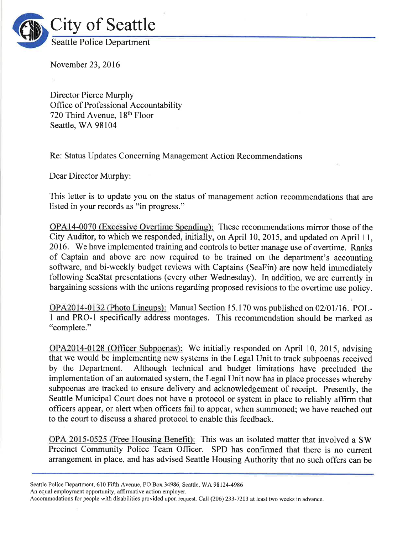

November 23,2016

Director Pierce Murphy Office of Professional Accountability 720 Third Avenue, 18<sup>th</sup> Floor Seattle, WA 98104

Re: Status Updates Concerning Management Action Recommendations

Dear Director Murphy:

This letter is to update you on the status of management action recommendations that are listed in your records as "in progress."

OPA14-0070 (Excessive Overtime Spending): These recommendations mirror those of the City Auditor, to which we responded, initially, on April 10,2015, and updated on April 11, 2016. We have implemented training and controls to better manage use of overtime. Ranks of Captain and above are now required to be trained on the department's accounting software, and bi-weekly budget reviews with Captains (SeaFin) are now held immediately following SeaStat presentations (every other Wednesday). In addition, we are currently in bargaining sessions with the unions regarding proposed revisions to the overtime use policy.

OPA2014-0132 (Photo Lineups): Manual Section 15.170 was published on 02/01/16. POL-I and PRO-I specifically address montages. This recommendation should be marked as "complete."

OPA2014-0128 (Officer Subpoenas): We initially responded on April 10, 2015, advising that we would be implementing new systems in the Legal Unit to track subpoenas received by the Department. Although technical and budget limitations have precluded the implementation of an automated system, the Legal Unit now has in place processes whereby subpoenas are tracked to ensure delivery and acknowledgement of receipt. Presently, the Seattle Municipal Court does not have a protocol or system in place to reliably affirm that officers appear, or alert when officers fail to appear, when summoned; we have reached out to the court to discuss a shared protocol to enable this feedback.

OPA 2015-0525 (Free Housing Benefìt): This was an isolated matter that involved a SW Precinct Community Police Team Officer. SPD has confirmed that there is no current arrangement in place, and has advised Seattle Housing Authority that no such offers can be

Seattle Police Department, 610 Fifth Avenue, PO Box 34986, Seattle, WA98124-4986

An equal employment opportunity, affirmative action employer.

Accommodations for people with disabilities provided upon request. Call (206) 233-7203 at least two weeks in advance.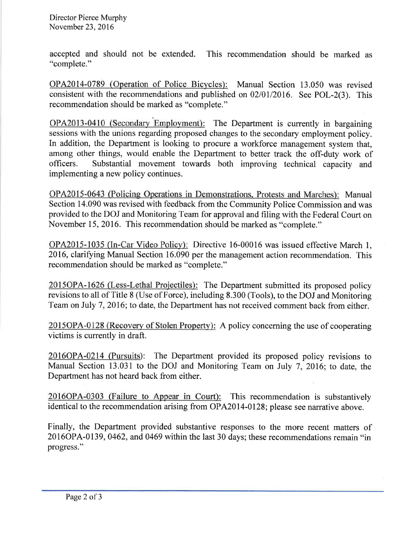Director Pierce Murphy November 23,2016

accepted and should not be extended. This recommendation should be marked as "complete."

OPA2014-0789 (Operation of Police Bicycles): Manual Section 13.050 was revised consistent with the recommendations and published on  $02/01/2016$ . See POL-2(3). This recommendation should be marked as "complete."

OPA2013-0410 (Secondary Employment): The Department is currently in bargaining sessions with the unions regarding proposed changes to the secondary employment policy. In addition, the Department is looking to procure a workforce management system that, among other things, would enable the Department to better track the off-duty work of officers. Substantial movement towards both improving technical capacity and Substantial movement towards both improving technical capacity and implementing a new policy continues.

OPA2015-0643 (Policing Operations in Demonstrations, Protests and Marches): Manual Section 14.090 was revised with feedback from the Community Police Commission and was provided to the DOJ and Monitoring Team for approval and filing with the Federal Court on November 15,2016. This recommendation should be marked as "complete."

OPA2015-1035 (In-Car Video Policy): Directive 16-00016 was issued effective March l, 2016, clarifying Manual Section 16.090 per the management action recommendation. This recommendation should be marked as "complete."

2015OPA-1626 (Less-Lethal Projectiles): The Department submitted its proposed policy revisions to all of Title 8 (Use of Force), including 8.300 (Tools), to the DOJ and Monitoring Team on July 7, 2016; to date, the Department has not received comment back from either.

2015OPA-0128 (Recovery of Stolen Property): A policy concerning the use of cooperating victims is currently in draft.

2016OPA-0214 (Pursuits): The Department provided its proposed policy revisions to Manual Section 13.031 to the DOJ and Monitoring Team on July 7,2016; to date, the Department has not heard back from either.

2016OPA-0303 (Failure to Appear in Court): This recommendation is substantively identical to the recommendation arising from OPA20I4-0128; please see narrative above.

Finally, the Department provided substantive responses to the more recent matters of 2016OPA-0139, 0462, and 0469 within the last 30 days; these recommendations remain "in progress."